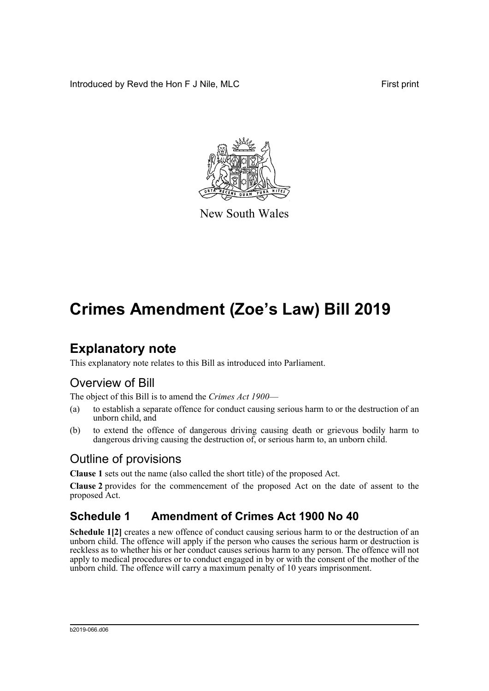Introduced by Revd the Hon F J Nile, MLC First print



New South Wales

# **Crimes Amendment (Zoe's Law) Bill 2019**

### **Explanatory note**

This explanatory note relates to this Bill as introduced into Parliament.

### Overview of Bill

The object of this Bill is to amend the *Crimes Act 1900*—

- (a) to establish a separate offence for conduct causing serious harm to or the destruction of an unborn child, and
- (b) to extend the offence of dangerous driving causing death or grievous bodily harm to dangerous driving causing the destruction of, or serious harm to, an unborn child.

#### Outline of provisions

**Clause 1** sets out the name (also called the short title) of the proposed Act.

**Clause 2** provides for the commencement of the proposed Act on the date of assent to the proposed Act.

### **Schedule 1 Amendment of Crimes Act 1900 No 40**

**Schedule 1[2]** creates a new offence of conduct causing serious harm to or the destruction of an unborn child. The offence will apply if the person who causes the serious harm or destruction is reckless as to whether his or her conduct causes serious harm to any person. The offence will not apply to medical procedures or to conduct engaged in by or with the consent of the mother of the unborn child. The offence will carry a maximum penalty of 10 years imprisonment.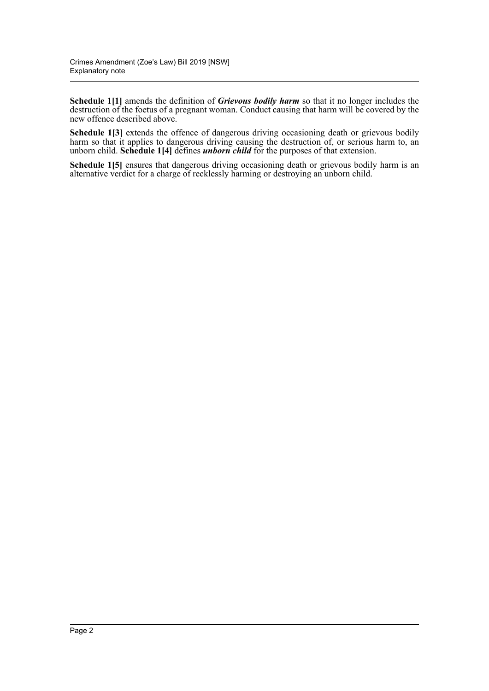**Schedule 1[1]** amends the definition of *Grievous bodily harm* so that it no longer includes the destruction of the foetus of a pregnant woman. Conduct causing that harm will be covered by the new offence described above.

**Schedule 1[3]** extends the offence of dangerous driving occasioning death or grievous bodily harm so that it applies to dangerous driving causing the destruction of, or serious harm to, an unborn child. **Schedule 1[4]** defines *unborn child* for the purposes of that extension.

**Schedule 1[5]** ensures that dangerous driving occasioning death or grievous bodily harm is an alternative verdict for a charge of recklessly harming or destroying an unborn child.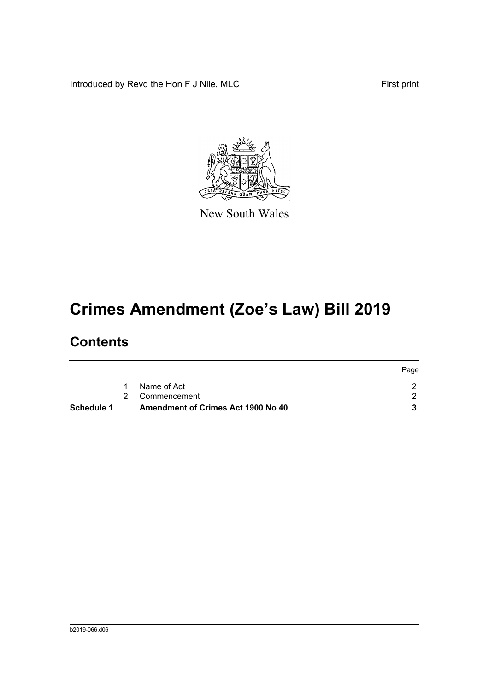Introduced by Revd the Hon F J Nile, MLC First print



New South Wales

# **Crimes Amendment (Zoe's Law) Bill 2019**

### **Contents**

|            |   |                                           | Page |
|------------|---|-------------------------------------------|------|
|            | 1 | Name of Act                               |      |
|            |   | 2 Commencement                            |      |
| Schedule 1 |   | <b>Amendment of Crimes Act 1900 No 40</b> |      |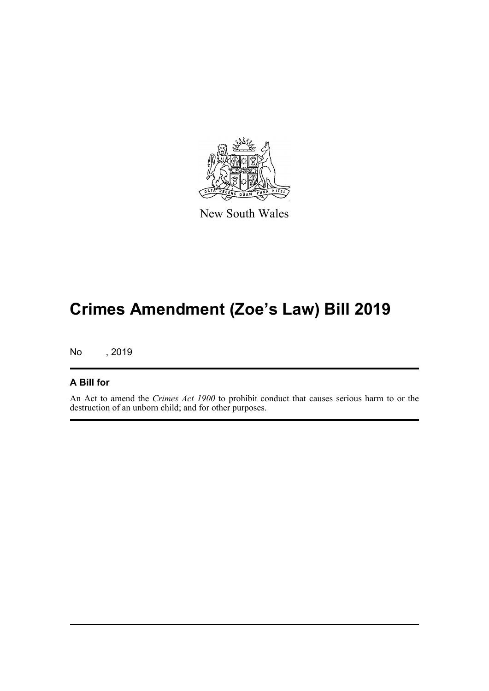

New South Wales

## **Crimes Amendment (Zoe's Law) Bill 2019**

No , 2019

#### **A Bill for**

An Act to amend the *Crimes Act 1900* to prohibit conduct that causes serious harm to or the destruction of an unborn child; and for other purposes.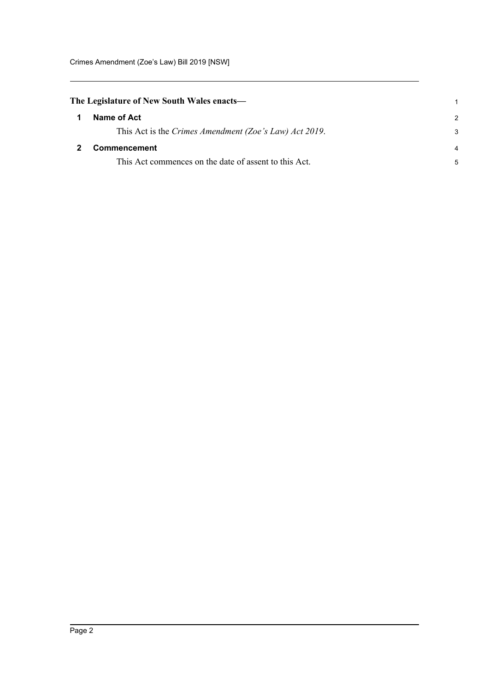<span id="page-4-1"></span><span id="page-4-0"></span>

| The Legislature of New South Wales enacts—             |               |
|--------------------------------------------------------|---------------|
| Name of Act                                            | $\mathcal{P}$ |
| This Act is the Crimes Amendment (Zoe's Law) Act 2019. | 3             |
| <b>Commencement</b>                                    | 4             |
| This Act commences on the date of assent to this Act.  | 5             |